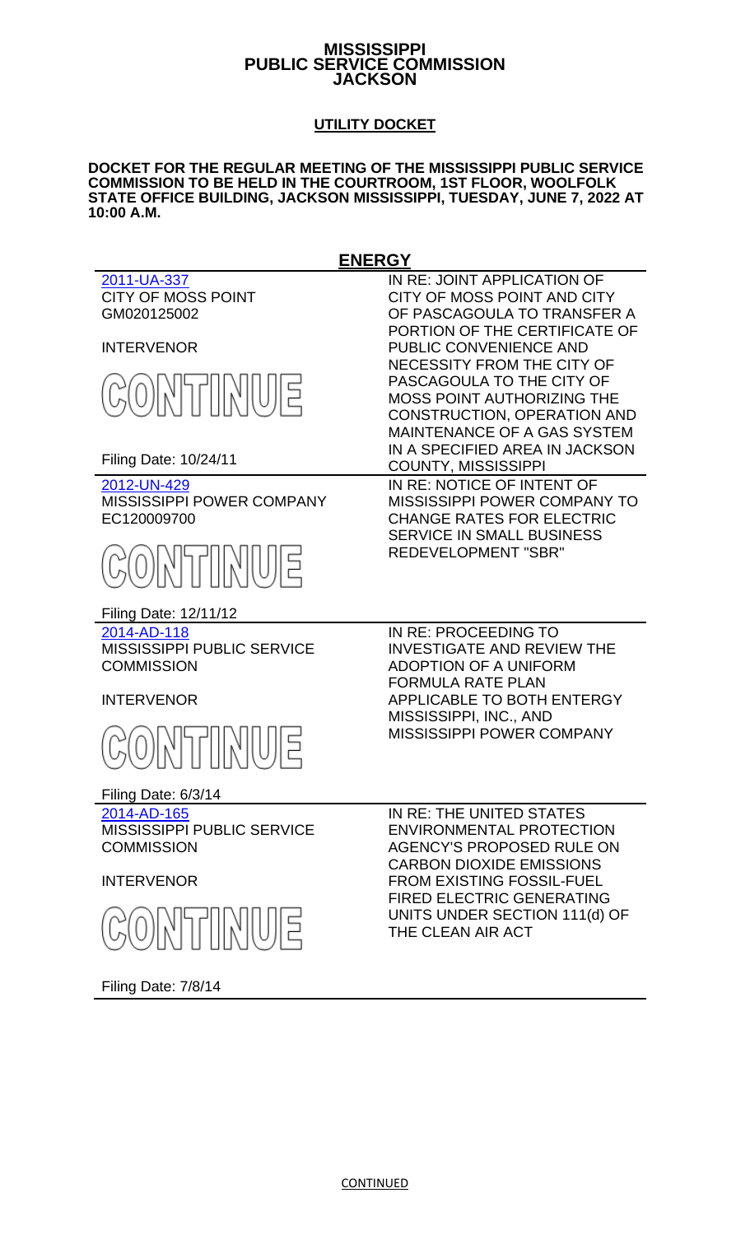### **MISSISSIPPI PUBLIC SERVICE COMMISSION JACKSON**

# **UTILITY DOCKET**

#### **DOCKET FOR THE REGULAR MEETING OF THE MISSISSIPPI PUBLIC SERVICE COMMISSION TO BE HELD IN THE COURTROOM, 1ST FLOOR, WOOLFOLK STATE OFFICE BUILDING, JACKSON MISSISSIPPI, TUESDAY, JUNE 7, 2022 AT 10:00 A.M.**

**ENERGY** [2011-UA-337](http://www.psc.state.ms.us/trinityview/mspsc.html?CASEYEAR=2011&CASENUM=337) IN RE: JOINT APPLICATION OF CITY OF MOSS POINT CITY OF MOSS POINT AND CITY OF PASCAGOULA TO TRANSFER A GM020125002 PORTION OF THE CERTIFICATE OF INTERVENOR PUBLIC CONVENIENCE AND NECESSITY FROM THE CITY OF PASCAGOULA TO THE CITY OF 회미시에서 MOSS POINT AUTHORIZING THE CONSTRUCTION, OPERATION AND MAINTENANCE OF A GAS SYSTEM IN A SPECIFIED AREA IN JACKSON Filing Date: 10/24/11 COUNTY, MISSISSIPPI [2012-UN-429](http://www.psc.state.ms.us/trinityview/mspsc.html?CASEYEAR=2012&CASENUM=429) IN RE: NOTICE OF INTENT OF MISSISSIPPI POWER COMPANY MISSISSIPPI POWER COMPANY TO EC120009700 CHANGE RATES FOR ELECTRIC SERVICE IN SMALL BUSINESS REDEVELOPMENT "SBR" Filing Date: 12/11/12 [2014-AD-118](http://www.psc.state.ms.us/trinityview/mspsc.html?CASEYEAR=2014&CASENUM=118) IN RE: PROCEEDING TO MISSISSIPPI PUBLIC SERVICE INVESTIGATE AND REVIEW THE **COMMISSION** ADOPTION OF A UNIFORM FORMULA RATE PLAN INTERVENOR APPLICABLE TO BOTH ENTERGY MISSISSIPPI, INC., AND MISSISSIPPI POWER COMPANY Filing Date: 6/3/14 [2014-AD-165](http://www.psc.state.ms.us/trinityview/mspsc.html?CASEYEAR=2014&CASENUM=165) IN RE: THE UNITED STATES MISSISSIPPI PUBLIC SERVICE ENVIRONMENTAL PROTECTION **COMMISSION** AGENCY'S PROPOSED RULE ON CARBON DIOXIDE EMISSIONS INTERVENOR FROM EXISTING FOSSIL-FUEL FIRED ELECTRIC GENERATING UNITS UNDER SECTION 111(d) OF THE CLEAN AIR ACT

Filing Date: 7/8/14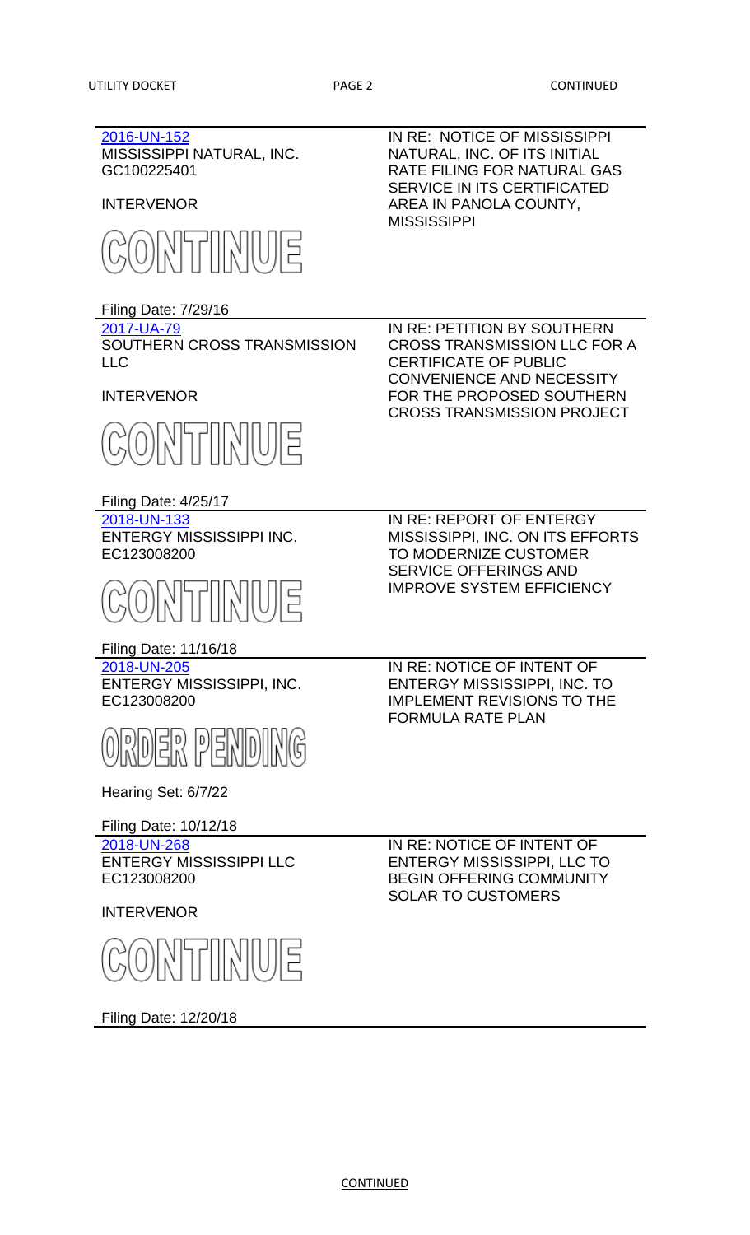## [2016-UN-152](http://www.psc.state.ms.us/trinityview/mspsc.html?CASEYEAR=2016&CASENUM=152) MISSISSIPPI NATURAL, INC. GC100225401

INTERVENOR



Filing Date: 7/29/16

[2017-UA-79](http://www.psc.state.ms.us/trinityview/mspsc.html?CASEYEAR=2017&CASENUM=79) SOUTHERN CROSS TRANSMISSION LLC

INTERVENOR



Filing Date: 4/25/17

[2018-UN-133](http://www.psc.state.ms.us/trinityview/mspsc.html?CASEYEAR=2018&CASENUM=133%0d) ENTERGY MISSISSIPPI INC. EC123008200



Filing Date: 11/16/18

[2018-UN-205](http://www.psc.state.ms.us/trinityview/mspsc.html?CASEYEAR=2018&CASENUM=205%20) ENTERGY MISSISSIPPI, INC. EC123008200



Hearing Set: 6/7/22

Filing Date: 10/12/18

[2018-UN-268](http://www.psc.state.ms.us/trinityview/mspsc.html?CASEYEAR=2018&CASENUM=268) ENTERGY MISSISSIPPI LLC EC123008200

INTERVENOR



Filing Date: 12/20/18

IN RE: NOTICE OF MISSISSIPPI NATURAL, INC. OF ITS INITIAL RATE FILING FOR NATURAL GAS SERVICE IN ITS CERTIFICATED AREA IN PANOLA COUNTY, MISSISSIPPI

IN RE: PETITION BY SOUTHERN CROSS TRANSMISSION LLC FOR A CERTIFICATE OF PUBLIC CONVENIENCE AND NECESSITY FOR THE PROPOSED SOUTHERN CROSS TRANSMISSION PROJECT

IN RE: REPORT OF ENTERGY MISSISSIPPI, INC. ON ITS EFFORTS TO MODERNIZE CUSTOMER SERVICE OFFERINGS AND IMPROVE SYSTEM EFFICIENCY

IN RE: NOTICE OF INTENT OF ENTERGY MISSISSIPPI, INC. TO IMPLEMENT REVISIONS TO THE FORMULA RATE PLAN

IN RE: NOTICE OF INTENT OF ENTERGY MISSISSIPPI, LLC TO BEGIN OFFERING COMMUNITY SOLAR TO CUSTOMERS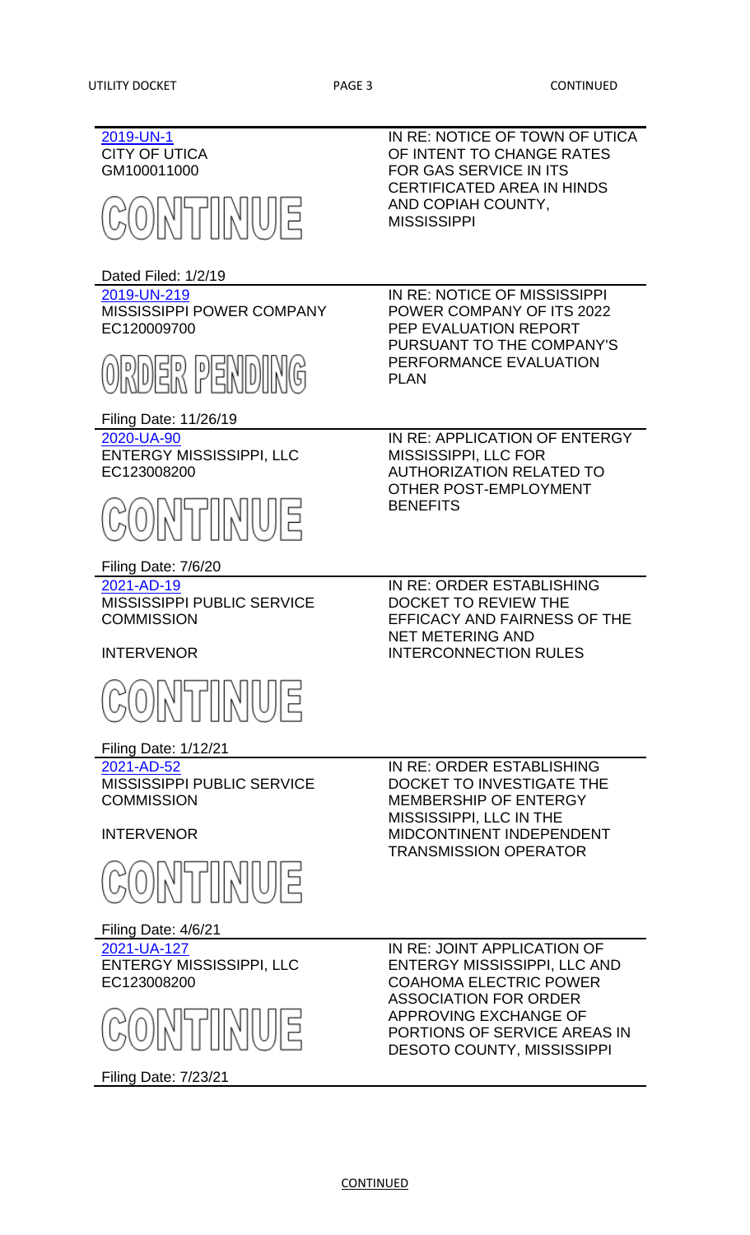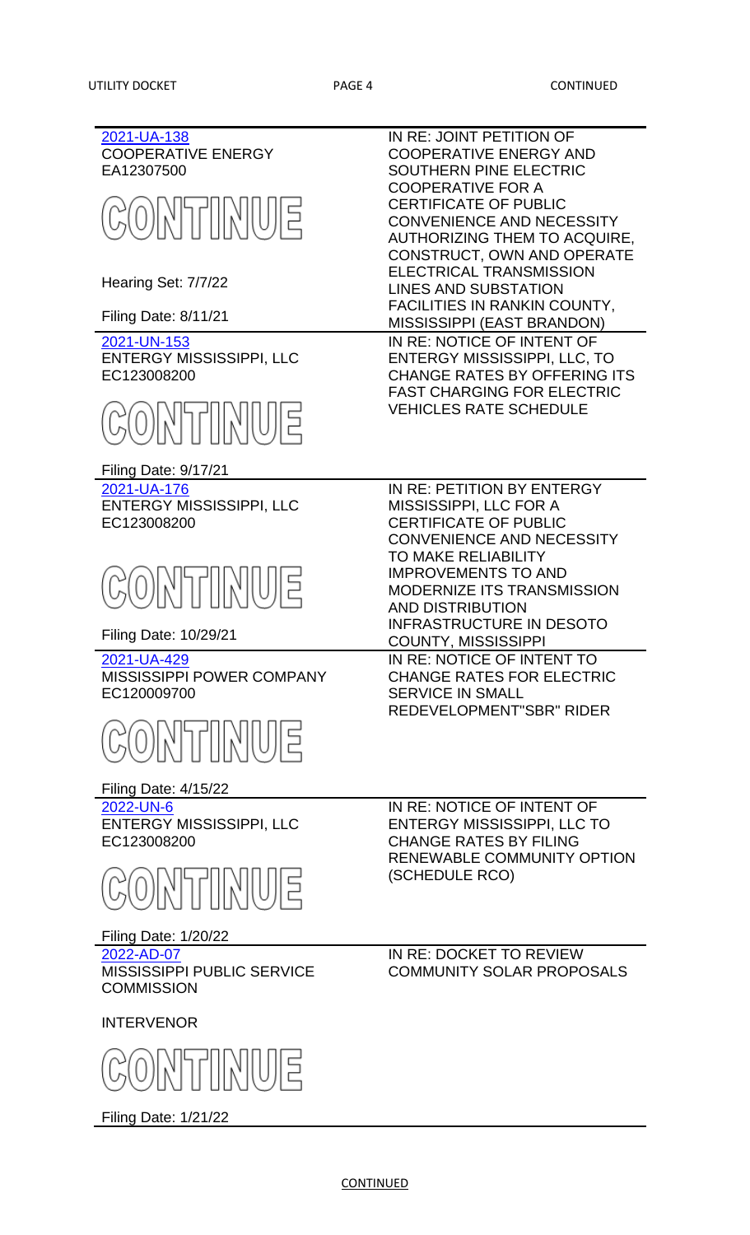[2021-UA-138](http://www.psc.state.ms.us/trinityview/mspsc.html?CASEYEAR=2021&CASENUM=138) IN RE: JOINT PETITION OF COOPERATIVE ENERGY COOPERATIVE ENERGY AND SOUTHERN PINE ELECTRIC EA12307500 COOPERATIVE FOR A TINU CERTIFICATE OF PUBLIC CONVENIENCE AND NECESSITY AUTHORIZING THEM TO ACQUIRE, CONSTRUCT, OWN AND OPERATE ELECTRICAL TRANSMISSION Hearing Set: 7/7/22 LINES AND SUBSTATION FACILITIES IN RANKIN COUNTY, Filing Date: 8/11/21 MISSISSIPPI (EAST BRANDON) [2021-UN-153](http://www.psc.state.ms.us/trinityview/mspsc.html?CASEYEAR=2021&CASENUM=153) IN RE: NOTICE OF INTENT OF ENTERGY MISSISSIPPI, LLC ENTERGY MISSISSIPPI, LLC, TO EC123008200 CHANGE RATES BY OFFERING ITS FAST CHARGING FOR ELECTRIC VEHICLES RATE SCHEDULE Filing Date: 9/17/21 [2021-UA-176](http://www.psc.state.ms.us/trinityview/mspsc.html?CASEYEAR=2021&CASENUM=176) IN RE: PETITION BY ENTERGY ENTERGY MISSISSIPPI, LLC MISSISSIPPI, LLC FOR A EC123008200 CERTIFICATE OF PUBLIC CONVENIENCE AND NECESSITY TO MAKE RELIABILITY IMPROVEMENTS TO AND MODERNIZE ITS TRANSMISSION AND DISTRIBUTION INFRASTRUCTURE IN DESOTO Filing Date: 10/29/21 COUNTY, MISSISSIPPI [2021-UA-429](http://www.psc.state.ms.us/trinityview/mspsc.html?CASEYEAR=2021&CASENUM=429) IN RE: NOTICE OF INTENT TO MISSISSIPPI POWER COMPANY CHANGE RATES FOR ELECTRIC EC120009700 SERVICE IN SMALL REDEVELOPMENT"SBR" RIDER Filing Date: 4/15/22 IN RE: NOTICE OF INTENT OF [2022-UN-6](http://www.psc.state.ms.us/trinityview/mspsc.html?CASEYEAR=2022&CASENUM=6) ENTERGY MISSISSIPPI, LLC ENTERGY MISSISSIPPI, LLC TO EC123008200 CHANGE RATES BY FILING RENEWABLE COMMUNITY OPTION (SCHEDULE RCO) <u>NIMINE</u> Filing Date: 1/20/22 [2022-AD-07](http://www.psc.state.ms.us/trinityview/mspsc.html?CASEYEAR=2022&CASENUM=07) IN RE: DOCKET TO REVIEW MISSISSIPPI PUBLIC SERVICE COMMUNITY SOLAR PROPOSALS**COMMISSION** INTERVENOR 개/WUIE

**CONTINUED** 

Filing Date: 1/21/22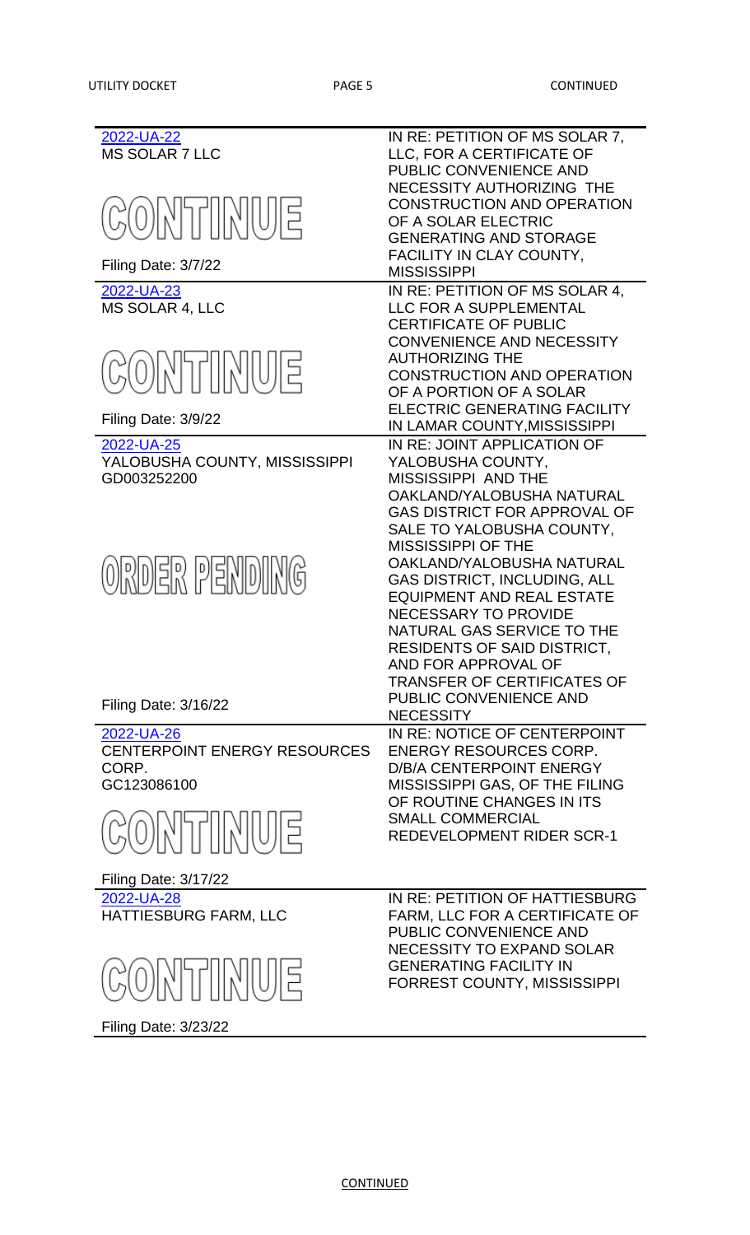| 2022-UA-22<br><b>MS SOLAR 7 LLC</b> | IN RE: PETITION OF MS SOLAR 7,<br>LLC, FOR A CERTIFICATE OF<br>PUBLIC CONVENIENCE AND                                  |
|-------------------------------------|------------------------------------------------------------------------------------------------------------------------|
| <b>CONTINUE</b>                     | NECESSITY AUTHORIZING THE<br><b>CONSTRUCTION AND OPERATION</b><br>OF A SOLAR ELECTRIC<br><b>GENERATING AND STORAGE</b> |
| Filing Date: 3/7/22                 | FACILITY IN CLAY COUNTY,<br><b>MISSISSIPPI</b>                                                                         |
| 2022-UA-23                          | IN RE: PETITION OF MS SOLAR 4,                                                                                         |
| <b>MS SOLAR 4, LLC</b>              | LLC FOR A SUPPLEMENTAL                                                                                                 |
|                                     | <b>CERTIFICATE OF PUBLIC</b>                                                                                           |
|                                     | <b>CONVENIENCE AND NECESSITY</b>                                                                                       |
|                                     | <b>AUTHORIZING THE</b>                                                                                                 |
| GONTINUE                            | <b>CONSTRUCTION AND OPERATION</b>                                                                                      |
|                                     | OF A PORTION OF A SOLAR                                                                                                |
|                                     |                                                                                                                        |
| Filing Date: 3/9/22                 | <b>ELECTRIC GENERATING FACILITY</b>                                                                                    |
|                                     | IN LAMAR COUNTY, MISSISSIPPI                                                                                           |
| 2022-UA-25                          | IN RE: JOINT APPLICATION OF                                                                                            |
| YALOBUSHA COUNTY, MISSISSIPPI       | YALOBUSHA COUNTY,                                                                                                      |
| GD003252200                         | <b>MISSISSIPPI AND THE</b>                                                                                             |
|                                     | OAKLAND/YALOBUSHA NATURAL                                                                                              |
|                                     | GAS DISTRICT FOR APPROVAL OF                                                                                           |
|                                     | SALE TO YALOBUSHA COUNTY,                                                                                              |
|                                     | <b>MISSISSIPPI OF THE</b>                                                                                              |
| ORDER PENDING                       | OAKLAND/YALOBUSHA NATURAL                                                                                              |
|                                     | <b>GAS DISTRICT, INCLUDING, ALL</b>                                                                                    |
|                                     | <b>EQUIPMENT AND REAL ESTATE</b>                                                                                       |
|                                     | <b>NECESSARY TO PROVIDE</b>                                                                                            |
|                                     | NATURAL GAS SERVICE TO THE                                                                                             |
|                                     | RESIDENTS OF SAID DISTRICT,                                                                                            |
|                                     | AND FOR APPROVAL OF                                                                                                    |
|                                     | <b>TRANSFER OF CERTIFICATES OF</b>                                                                                     |
| Filing Date: 3/16/22                | PUBLIC CONVENIENCE AND                                                                                                 |
|                                     | <b>NECESSITY</b>                                                                                                       |
| 2022-UA-26                          | IN RE: NOTICE OF CENTERPOINT                                                                                           |
| <b>CENTERPOINT ENERGY RESOURCES</b> | <b>ENERGY RESOURCES CORP.</b>                                                                                          |
| CORP.                               | <b>D/B/A CENTERPOINT ENERGY</b>                                                                                        |
| GC123086100                         | MISSISSIPPI GAS, OF THE FILING                                                                                         |
|                                     | OF ROUTINE CHANGES IN ITS                                                                                              |
| ONTINUE                             | <b>SMALL COMMERCIAL</b>                                                                                                |
|                                     | <b>REDEVELOPMENT RIDER SCR-1</b>                                                                                       |
|                                     |                                                                                                                        |
| <b>Filing Date: 3/17/22</b>         |                                                                                                                        |
|                                     | IN RE: PETITION OF HATTIESBURG                                                                                         |
| 2022-UA-28                          | <b>FARM, LLC FOR A CERTIFICATE OF</b>                                                                                  |
| HATTIESBURG FARM, LLC               | PUBLIC CONVENIENCE AND                                                                                                 |
|                                     | NECESSITY TO EXPAND SOLAR                                                                                              |
|                                     | <b>GENERATING FACILITY IN</b>                                                                                          |
| EIUIKIIN (O)                        | <b>FORREST COUNTY, MISSISSIPPI</b>                                                                                     |
|                                     |                                                                                                                        |
|                                     |                                                                                                                        |

Filing Date: 3/23/22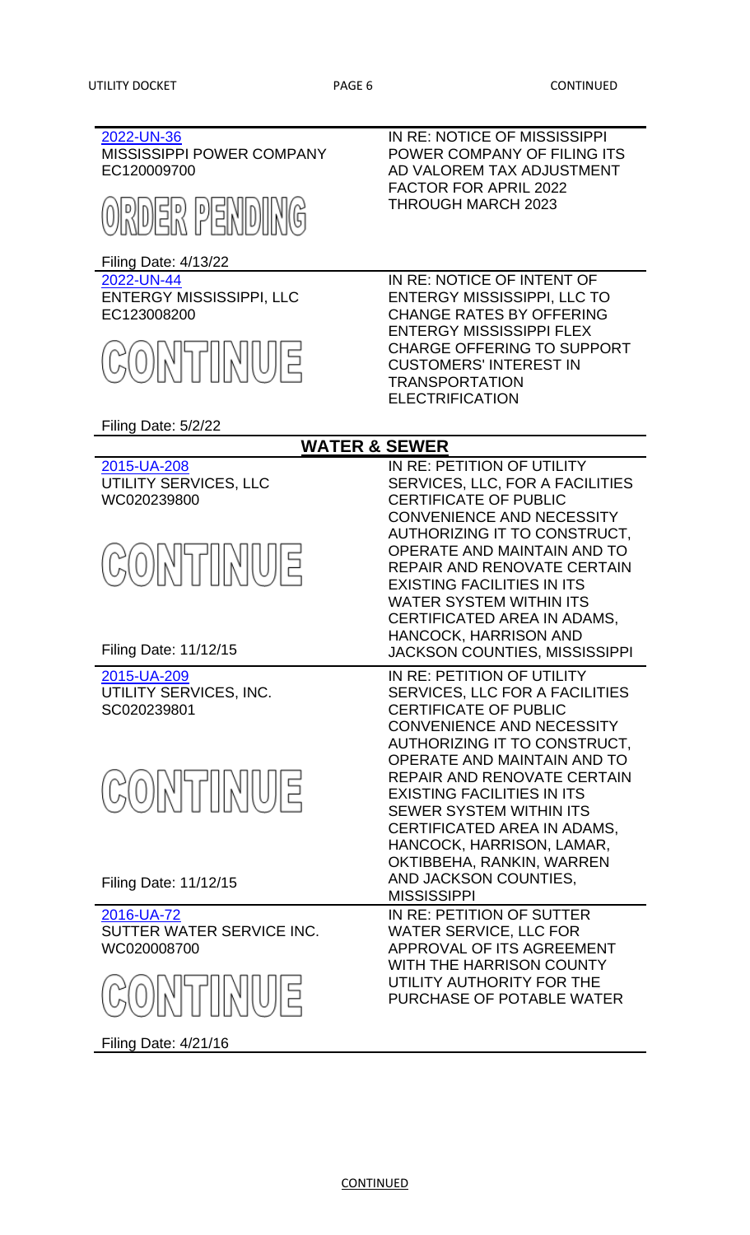| 2022-UN-36<br><b>MISSISSIPPI POWER COMPANY</b> | IN RE: NOTICE OF MISSISSIPPI<br>POWER COMPANY OF FILING ITS           |
|------------------------------------------------|-----------------------------------------------------------------------|
| EC120009700                                    | AD VALOREM TAX ADJUSTMENT                                             |
|                                                | <b>FACTOR FOR APRIL 2022</b>                                          |
| ORDER PENDING                                  | <b>THROUGH MARCH 2023</b>                                             |
|                                                |                                                                       |
| <b>Filing Date: 4/13/22</b>                    |                                                                       |
| 2022-UN-44                                     | IN RE: NOTICE OF INTENT OF                                            |
| <b>ENTERGY MISSISSIPPI, LLC</b><br>EC123008200 | <b>ENTERGY MISSISSIPPI, LLC TO</b><br><b>CHANGE RATES BY OFFERING</b> |
|                                                | <b>ENTERGY MISSISSIPPI FLEX</b>                                       |
|                                                | <b>CHARGE OFFERING TO SUPPORT</b>                                     |
| GONTIMUE                                       | <b>CUSTOMERS' INTEREST IN</b>                                         |
|                                                | <b>TRANSPORTATION</b><br><b>ELECTRIFICATION</b>                       |
|                                                |                                                                       |
| Filing Date: 5/2/22                            |                                                                       |
| <b>WATER &amp; SEWER</b>                       |                                                                       |
| 2015-UA-208<br>UTILITY SERVICES, LLC           | IN RE: PETITION OF UTILITY<br>SERVICES, LLC, FOR A FACILITIES         |
| WC020239800                                    | <b>CERTIFICATE OF PUBLIC</b>                                          |
|                                                | <b>CONVENIENCE AND NECESSITY</b>                                      |
|                                                | AUTHORIZING IT TO CONSTRUCT,                                          |
| <b>CONTINUE</b>                                | <b>OPERATE AND MAINTAIN AND TO</b>                                    |
|                                                | REPAIR AND RENOVATE CERTAIN                                           |
|                                                | <b>EXISTING FACILITIES IN ITS</b><br><b>WATER SYSTEM WITHIN ITS</b>   |
|                                                | CERTIFICATED AREA IN ADAMS,                                           |
|                                                | <b>HANCOCK, HARRISON AND</b>                                          |
| Filing Date: 11/12/15                          | <b>JACKSON COUNTIES, MISSISSIPPI</b>                                  |
| 2015-UA-209                                    | IN RE: PETITION OF UTILITY                                            |
| UTILITY SERVICES, INC.                         | <b>SERVICES, LLC FOR A FACILITIES</b>                                 |
| SC020239801                                    | <b>CERTIFICATE OF PUBLIC</b><br><b>CONVENIENCE AND NECESSITY</b>      |
|                                                | AUTHORIZING IT TO CONSTRUCT,                                          |
|                                                | OPERATE AND MAINTAIN AND TO                                           |
|                                                | REPAIR AND RENOVATE CERTAIN                                           |
| <b>CONTINUE</b>                                | <b>EXISTING FACILITIES IN ITS</b>                                     |
|                                                | <b>SEWER SYSTEM WITHIN ITS</b>                                        |
|                                                | CERTIFICATED AREA IN ADAMS.                                           |
|                                                | HANCOCK, HARRISON, LAMAR,<br>OKTIBBEHA, RANKIN, WARREN                |
|                                                | AND JACKSON COUNTIES,                                                 |
| Filing Date: 11/12/15                          | <b>MISSISSIPPI</b>                                                    |
| 2016-UA-72                                     | IN RE: PETITION OF SUTTER                                             |
| SUTTER WATER SERVICE INC.                      | <b>WATER SERVICE, LLC FOR</b>                                         |
| WC020008700                                    | APPROVAL OF ITS AGREEMENT<br>WITH THE HARRISON COUNTY                 |
|                                                | UTILITY AUTHORITY FOR THE                                             |
| EIUIKIINKKO                                    | PURCHASE OF POTABLE WATER                                             |
|                                                |                                                                       |

Filing Date: 4/21/16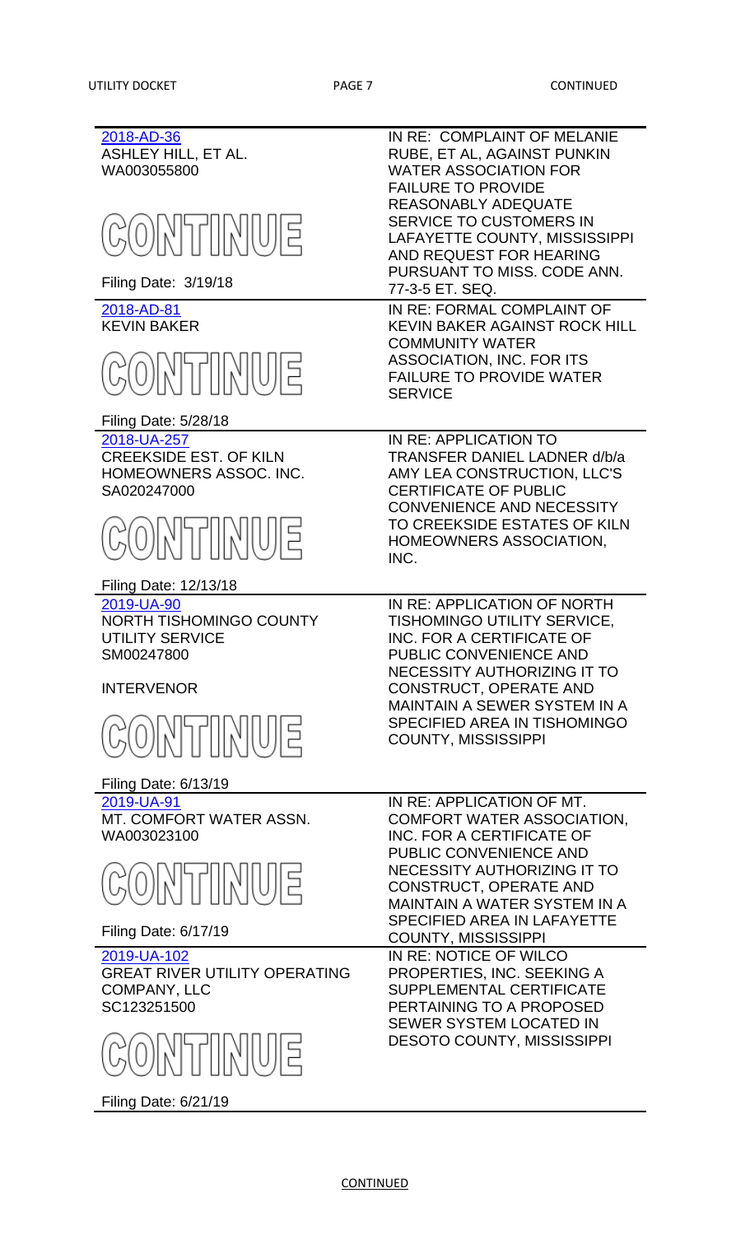| 2018-AD-36<br><b>ASHLEY HILL, ET AL.</b><br>WA003055800<br><b>CONTINUE</b><br>Filing Date: 3/19/18                                                  | IN RE: COMPLAINT OF MELANIE<br>RUBE, ET AL, AGAINST PUNKIN<br><b>WATER ASSOCIATION FOR</b><br><b>FAILURE TO PROVIDE</b><br><b>REASONABLY ADEQUATE</b><br><b>SERVICE TO CUSTOMERS IN</b><br>LAFAYETTE COUNTY, MISSISSIPPI<br>AND REQUEST FOR HEARING<br>PURSUANT TO MISS. CODE ANN.<br>77-3-5 ET. SEQ.<br>IN RE: FORMAL COMPLAINT OF |
|-----------------------------------------------------------------------------------------------------------------------------------------------------|-------------------------------------------------------------------------------------------------------------------------------------------------------------------------------------------------------------------------------------------------------------------------------------------------------------------------------------|
| 2018-AD-81<br><b>KEVIN BAKER</b><br><b>GONTIMUE</b><br>Filing Date: 5/28/18                                                                         | <b>KEVIN BAKER AGAINST ROCK HILL</b><br><b>COMMUNITY WATER</b><br><b>ASSOCIATION, INC. FOR ITS</b><br><b>FAILURE TO PROVIDE WATER</b><br><b>SERVICE</b>                                                                                                                                                                             |
| 2018-UA-257<br><b>CREEKSIDE EST. OF KILN</b><br>HOMEOWNERS ASSOC. INC.<br>SA020247000<br>GONTTINUE<br>Filing Date: 12/13/18                         | IN RE: APPLICATION TO<br>TRANSFER DANIEL LADNER d/b/a<br>AMY LEA CONSTRUCTION, LLC'S<br><b>CERTIFICATE OF PUBLIC</b><br><b>CONVENIENCE AND NECESSITY</b><br>TO CREEKSIDE ESTATES OF KILN<br>HOMEOWNERS ASSOCIATION,<br>INC.                                                                                                         |
| 2019-UA-90<br><b>NORTH TISHOMINGO COUNTY</b><br><b>UTILITY SERVICE</b><br>SM00247800<br><b>INTERVENOR</b><br>ONTIMUE<br><b>Filing Date: 6/13/19</b> | IN RE: APPLICATION OF NORTH<br>TISHOMINGO UTILITY SERVICE,<br>INC. FOR A CERTIFICATE OF<br>PUBLIC CONVENIENCE AND<br>NECESSITY AUTHORIZING IT TO<br><b>CONSTRUCT, OPERATE AND</b><br><b>MAINTAIN A SEWER SYSTEM IN A</b><br>SPECIFIED AREA IN TISHOMINGO<br><b>COUNTY, MISSISSIPPI</b>                                              |
| 2019-UA-91<br>MT. COMFORT WATER ASSN.<br>WA003023100<br>ONTIMUE<br>Filing Date: 6/17/19                                                             | IN RE: APPLICATION OF MT.<br><b>COMFORT WATER ASSOCIATION,</b><br>INC. FOR A CERTIFICATE OF<br>PUBLIC CONVENIENCE AND<br>NECESSITY AUTHORIZING IT TO<br><b>CONSTRUCT, OPERATE AND</b><br><b>MAINTAIN A WATER SYSTEM IN A</b><br><b>SPECIFIED AREA IN LAFAYETTE</b><br><b>COUNTY, MISSISSIPPI</b>                                    |
| 2019-UA-102<br><b>GREAT RIVER UTILITY OPERATING</b><br><b>COMPANY, LLC</b><br>SC123251500<br>O)             U E<br>Filing Date: 6/21/19             | IN RE: NOTICE OF WILCO<br>PROPERTIES, INC. SEEKING A<br><b>SUPPLEMENTAL CERTIFICATE</b><br>PERTAINING TO A PROPOSED<br><b>SEWER SYSTEM LOCATED IN</b><br><b>DESOTO COUNTY, MISSISSIPPI</b>                                                                                                                                          |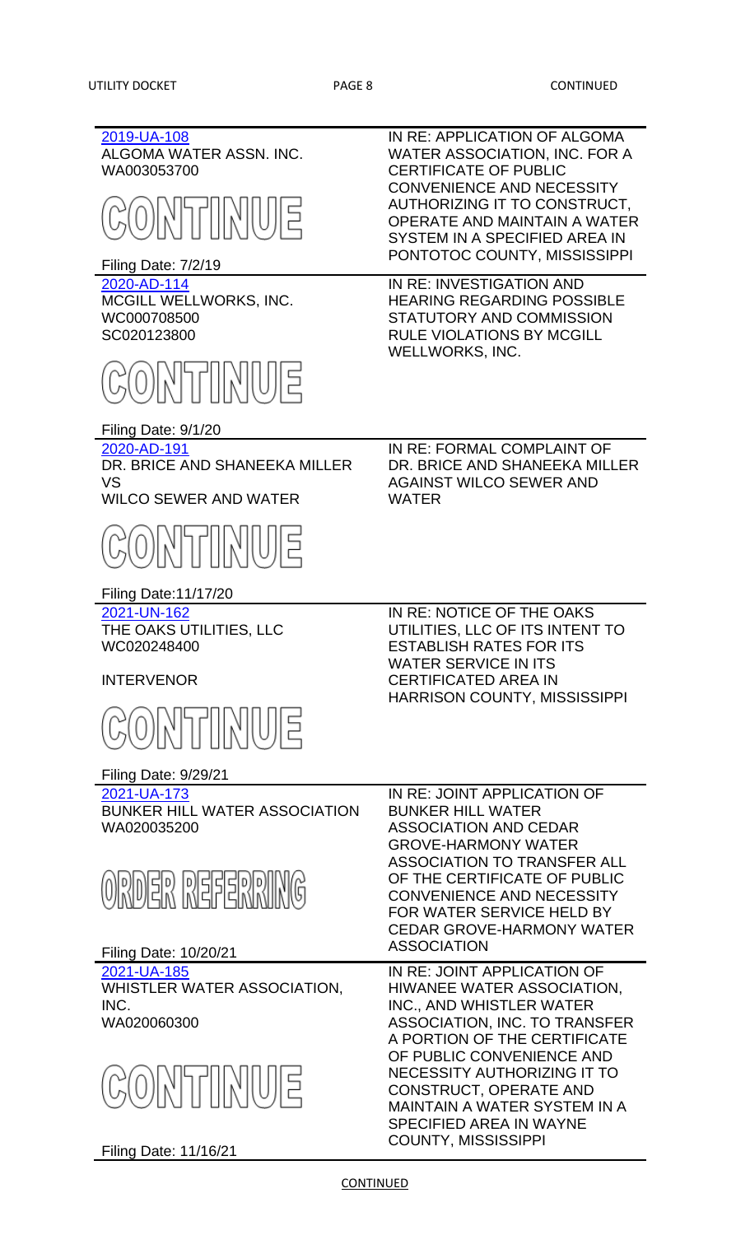| 2019-UA-108<br>ALGOMA WATER ASSN. INC.<br>WA003053700<br>ONTIMUE<br>Filing Date: 7/2/19 | IN RE: APPLICATION OF ALGOMA<br>WATER ASSOCIATION, INC. FOR A<br><b>CERTIFICATE OF PUBLIC</b><br><b>CONVENIENCE AND NECESSITY</b><br>AUTHORIZING IT TO CONSTRUCT,<br><b>OPERATE AND MAINTAIN A WATER</b><br>SYSTEM IN A SPECIFIED AREA IN<br>PONTOTOC COUNTY, MISSISSIPPI |
|-----------------------------------------------------------------------------------------|---------------------------------------------------------------------------------------------------------------------------------------------------------------------------------------------------------------------------------------------------------------------------|
| 2020-AD-114<br>MCGILL WELLWORKS, INC.<br>WC000708500<br>SC020123800                     | IN RE: INVESTIGATION AND<br><b>HEARING REGARDING POSSIBLE</b><br>STATUTORY AND COMMISSION<br><b>RULE VIOLATIONS BY MCGILL</b><br><b>WELLWORKS, INC.</b>                                                                                                                   |
| ONTIMUE<br>Filing Date: 9/1/20                                                          |                                                                                                                                                                                                                                                                           |
| 2020-AD-191<br>DR. BRICE AND SHANEEKA MILLER<br>VS<br><b>WILCO SEWER AND WATER</b>      | IN RE: FORMAL COMPLAINT OF<br>DR. BRICE AND SHANEEKA MILLER<br><b>AGAINST WILCO SEWER AND</b><br><b>WATER</b>                                                                                                                                                             |
| ONTTINUE                                                                                |                                                                                                                                                                                                                                                                           |
| <b>Filing Date:11/17/20</b>                                                             |                                                                                                                                                                                                                                                                           |
| 2021-UN-162<br>THE OAKS UTILITIES, LLC<br>WC020248400                                   | IN RE: NOTICE OF THE OAKS<br>UTILITIES, LLC OF ITS INTENT TO<br><b>ESTABLISH RATES FOR ITS</b><br><b>WATER SERVICE IN ITS</b>                                                                                                                                             |
| <b>INTERVENOR</b>                                                                       | <b>CERTIFICATED AREA IN</b>                                                                                                                                                                                                                                               |
| <b>SONTIMUE</b>                                                                         | <b>HARRISON COUNTY, MISSISSIPPI</b>                                                                                                                                                                                                                                       |
| <b>Filing Date: 9/29/21</b>                                                             |                                                                                                                                                                                                                                                                           |
| 2021-UA-173<br><b>BUNKER HILL WATER ASSOCIATION</b><br>WA020035200                      | IN RE: JOINT APPLICATION OF<br><b>BUNKER HILL WATER</b><br><b>ASSOCIATION AND CEDAR</b><br><b>GROVE-HARMONY WATER</b>                                                                                                                                                     |
| ORDER REFERRING<br>Filing Date: 10/20/21                                                | <b>ASSOCIATION TO TRANSFER ALL</b><br>OF THE CERTIFICATE OF PUBLIC<br><b>CONVENIENCE AND NECESSITY</b><br>FOR WATER SERVICE HELD BY<br><b>CEDAR GROVE-HARMONY WATER</b><br><b>ASSOCIATION</b>                                                                             |
| 2021-UA-185                                                                             | IN RE: JOINT APPLICATION OF                                                                                                                                                                                                                                               |
| WHISTLER WATER ASSOCIATION,<br>INC.                                                     | HIWANEE WATER ASSOCIATION,<br>INC., AND WHISTLER WATER                                                                                                                                                                                                                    |
| WA020060300                                                                             | ASSOCIATION, INC. TO TRANSFER                                                                                                                                                                                                                                             |
| GONTINUE<br>Filing Date: 11/16/21                                                       | A PORTION OF THE CERTIFICATE<br>OF PUBLIC CONVENIENCE AND<br>NECESSITY AUTHORIZING IT TO<br><b>CONSTRUCT, OPERATE AND</b><br><b>MAINTAIN A WATER SYSTEM IN A</b><br><b>SPECIFIED AREA IN WAYNE</b><br><b>COUNTY, MISSISSIPPI</b>                                          |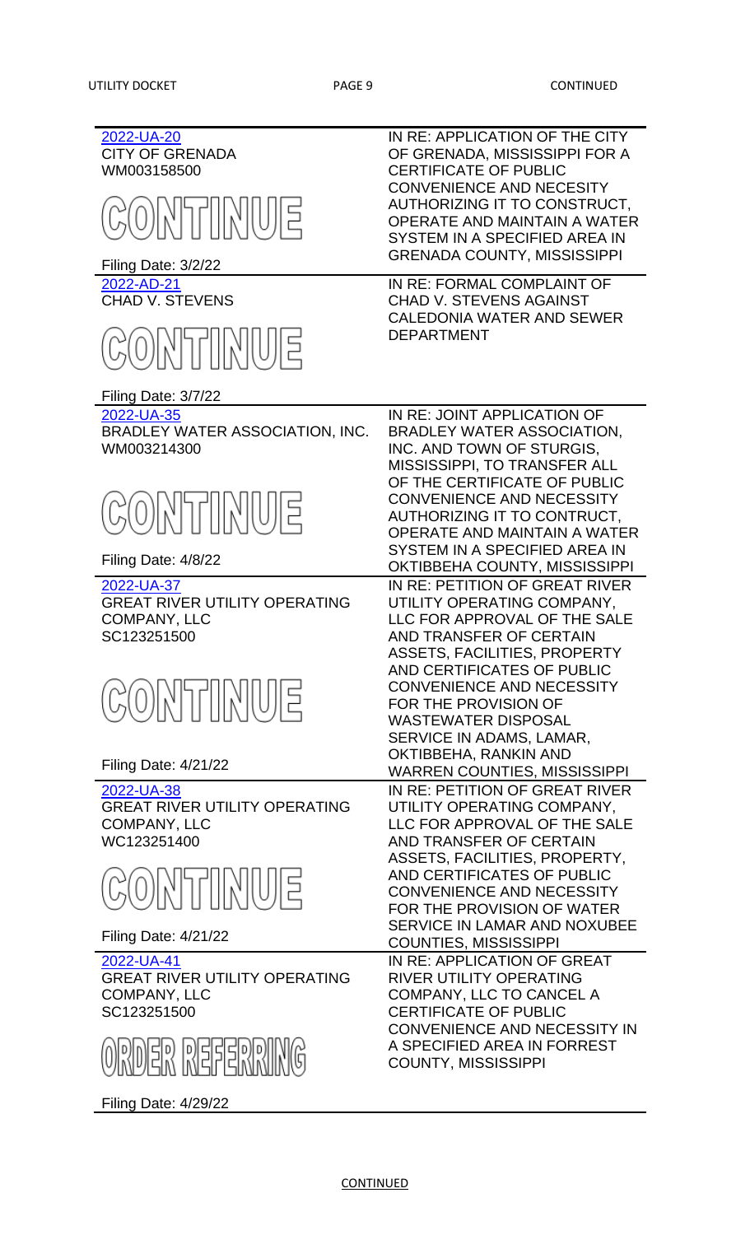| 2022-UA-20<br><b>CITY OF GRENADA</b><br>WM003158500<br>ONTIMUE<br>Filing Date: 3/2/22<br>2022-AD-21<br><b>CHAD V. STEVENS</b> | IN RE: APPLICATION OF THE CITY<br>OF GRENADA, MISSISSIPPI FOR A<br><b>CERTIFICATE OF PUBLIC</b><br><b>CONVENIENCE AND NECESITY</b><br>AUTHORIZING IT TO CONSTRUCT,<br>OPERATE AND MAINTAIN A WATER<br>SYSTEM IN A SPECIFIED AREA IN<br><b>GRENADA COUNTY, MISSISSIPPI</b><br>IN RE: FORMAL COMPLAINT OF<br><b>CHAD V. STEVENS AGAINST</b> |
|-------------------------------------------------------------------------------------------------------------------------------|-------------------------------------------------------------------------------------------------------------------------------------------------------------------------------------------------------------------------------------------------------------------------------------------------------------------------------------------|
| ONTIMUE<br>Filing Date: 3/7/22                                                                                                | <b>CALEDONIA WATER AND SEWER</b><br><b>DEPARTMENT</b>                                                                                                                                                                                                                                                                                     |
| 2022-UA-35<br>BRADLEY WATER ASSOCIATION, INC.<br>WM003214300                                                                  | IN RE: JOINT APPLICATION OF<br>BRADLEY WATER ASSOCIATION,<br>INC. AND TOWN OF STURGIS,<br>MISSISSIPPI, TO TRANSFER ALL<br>OF THE CERTIFICATE OF PUBLIC<br><b>CONVENIENCE AND NECESSITY</b>                                                                                                                                                |
| CONTINUE<br>Filing Date: 4/8/22                                                                                               | AUTHORIZING IT TO CONTRUCT,<br>OPERATE AND MAINTAIN A WATER<br>SYSTEM IN A SPECIFIED AREA IN<br>OKTIBBEHA COUNTY, MISSISSIPPI                                                                                                                                                                                                             |
| 2022-UA-37<br><b>GREAT RIVER UTILITY OPERATING</b><br><b>COMPANY, LLC</b><br>SC123251500                                      | IN RE: PETITION OF GREAT RIVER<br>UTILITY OPERATING COMPANY,<br>LLC FOR APPROVAL OF THE SALE<br>AND TRANSFER OF CERTAIN<br><b>ASSETS, FACILITIES, PROPERTY</b>                                                                                                                                                                            |
| ONTIMUE                                                                                                                       | AND CERTIFICATES OF PUBLIC<br><b>CONVENIENCE AND NECESSITY</b><br>FOR THE PROVISION OF<br><b>WASTEWATER DISPOSAL</b><br>SERVICE IN ADAMS, LAMAR,<br>OKTIBBEHA, RANKIN AND                                                                                                                                                                 |
| <b>Filing Date: 4/21/22</b>                                                                                                   | <b>WARREN COUNTIES, MISSISSIPPI</b>                                                                                                                                                                                                                                                                                                       |
| 2022-UA-38<br><b>GREAT RIVER UTILITY OPERATING</b><br><b>COMPANY, LLC</b><br>WC123251400                                      | IN RE: PETITION OF GREAT RIVER<br>UTILITY OPERATING COMPANY,<br>LLC FOR APPROVAL OF THE SALE<br>AND TRANSFER OF CERTAIN<br>ASSETS, FACILITIES, PROPERTY,                                                                                                                                                                                  |
| ONTIMUE                                                                                                                       | AND CERTIFICATES OF PUBLIC<br><b>CONVENIENCE AND NECESSITY</b><br>FOR THE PROVISION OF WATER<br><b>SERVICE IN LAMAR AND NOXUBEE</b>                                                                                                                                                                                                       |
| <b>Filing Date: 4/21/22</b>                                                                                                   | <b>COUNTIES, MISSISSIPPI</b>                                                                                                                                                                                                                                                                                                              |
| 2022-UA-41<br><b>GREAT RIVER UTILITY OPERATING</b><br><b>COMPANY, LLC</b><br>SC123251500                                      | IN RE: APPLICATION OF GREAT<br><b>RIVER UTILITY OPERATING</b><br>COMPANY, LLC TO CANCEL A<br><b>CERTIFICATE OF PUBLIC</b><br>CONVENIENCE AND NECESSITY IN<br>A SPECIFIED AREA IN FORREST                                                                                                                                                  |
| ORDER REFERRING<br>Filing Date: 4/29/22                                                                                       | <b>COUNTY, MISSISSIPPI</b>                                                                                                                                                                                                                                                                                                                |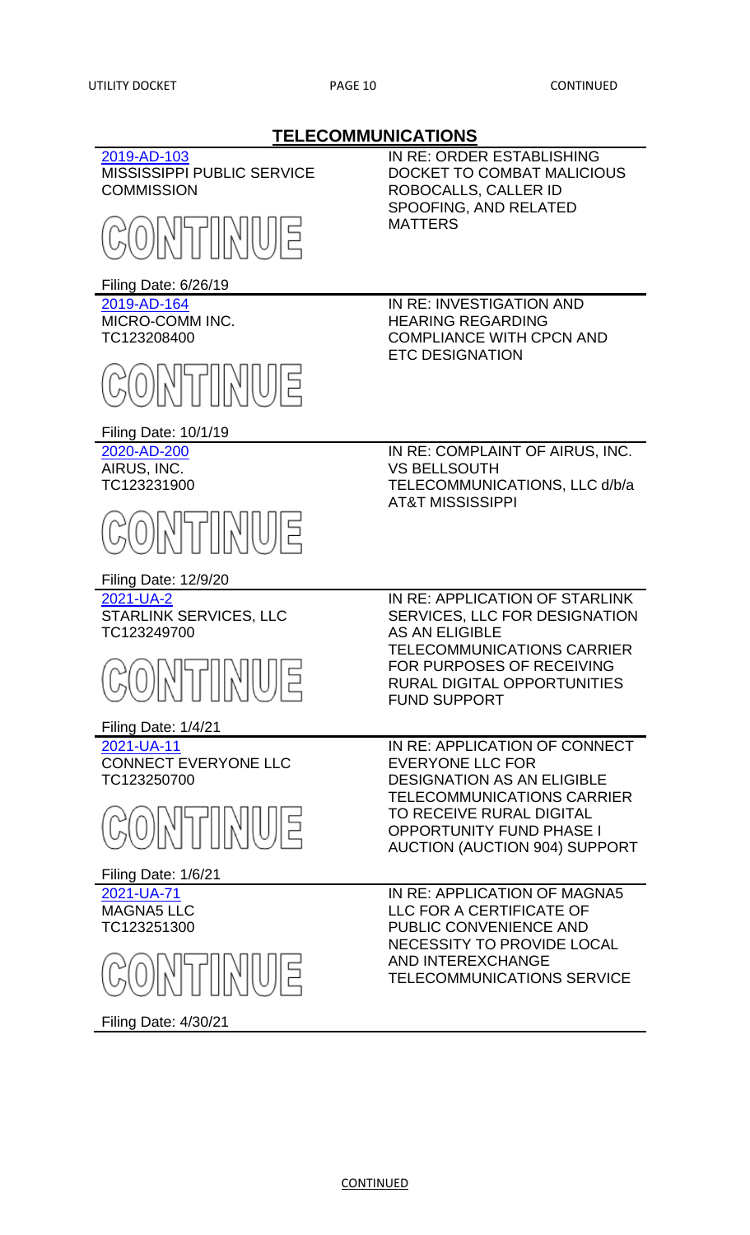**TELECOMMUNICATIONS** [2019-AD-103](http://www.psc.state.ms.us/trinityview/mspsc.html?CASEYEAR=2019&CASENUM=103) MISSISSIPPI PUBLIC SERVICE **COMMISSION** Filing Date: 6/26/19 IN RE: ORDER ESTABLISHING DOCKET TO COMBAT MALICIOUS ROBOCALLS, CALLER ID SPOOFING, AND RELATED MATTERS [2019-AD-164](http://www.psc.state.ms.us/trinityview/mspsc.html?CASEYEAR=2019&CASENUM=164) MICRO-COMM INC. TC123208400 Filing Date: 10/1/19 IN RE: INVESTIGATION AND HEARING REGARDING COMPLIANCE WITH CPCN AND ETC DESIGNATION [2020-AD-200](http://www.psc.state.ms.us/trinityview/mspsc.html?CASEYEAR=2020&CASENUM=200) AIRUS, INC. TC123231900 Filing Date: 12/9/20 IN RE: COMPLAINT OF AIRUS, INC. VS BELLSOUTH TELECOMMUNICATIONS, LLC d/b/a AT&T MISSISSIPPI [2021-UA-2](http://www.psc.state.ms.us/trinityview/mspsc.html?CASEYEAR=2021&CASENUM=2) STARLINK SERVICES, LLC TC123249700 Filing Date: 1/4/21 IN RE: APPLICATION OF STARLINK SERVICES, LLC FOR DESIGNATION AS AN ELIGIBLE TELECOMMUNICATIONS CARRIER FOR PURPOSES OF RECEIVING RURAL DIGITAL OPPORTUNITIES FUND SUPPORT [2021-UA-11](http://www.psc.state.ms.us/trinityview/mspsc.html?CASEYEAR=2021&CASENUM=11) CONNECT EVERYONE LLC TC123250700 Filing Date: 1/6/21 IN RE: APPLICATION OF CONNECT EVERYONE LLC FOR DESIGNATION AS AN ELIGIBLE TELECOMMUNICATIONS CARRIER TO RECEIVE RURAL DIGITAL OPPORTUNITY FUND PHASE I AUCTION (AUCTION 904) SUPPORT [2021-UA-71](http://www.psc.state.ms.us/trinityview/mspsc.html?CASEYEAR=2021&CASENUM=71) MAGNA5 LLC TC123251300 Filing Date: 4/30/21 IN RE: APPLICATION OF MAGNA5 LLC FOR A CERTIFICATE OF PUBLIC CONVENIENCE AND NECESSITY TO PROVIDE LOCAL AND INTEREXCHANGE TELECOMMUNICATIONS SERVICE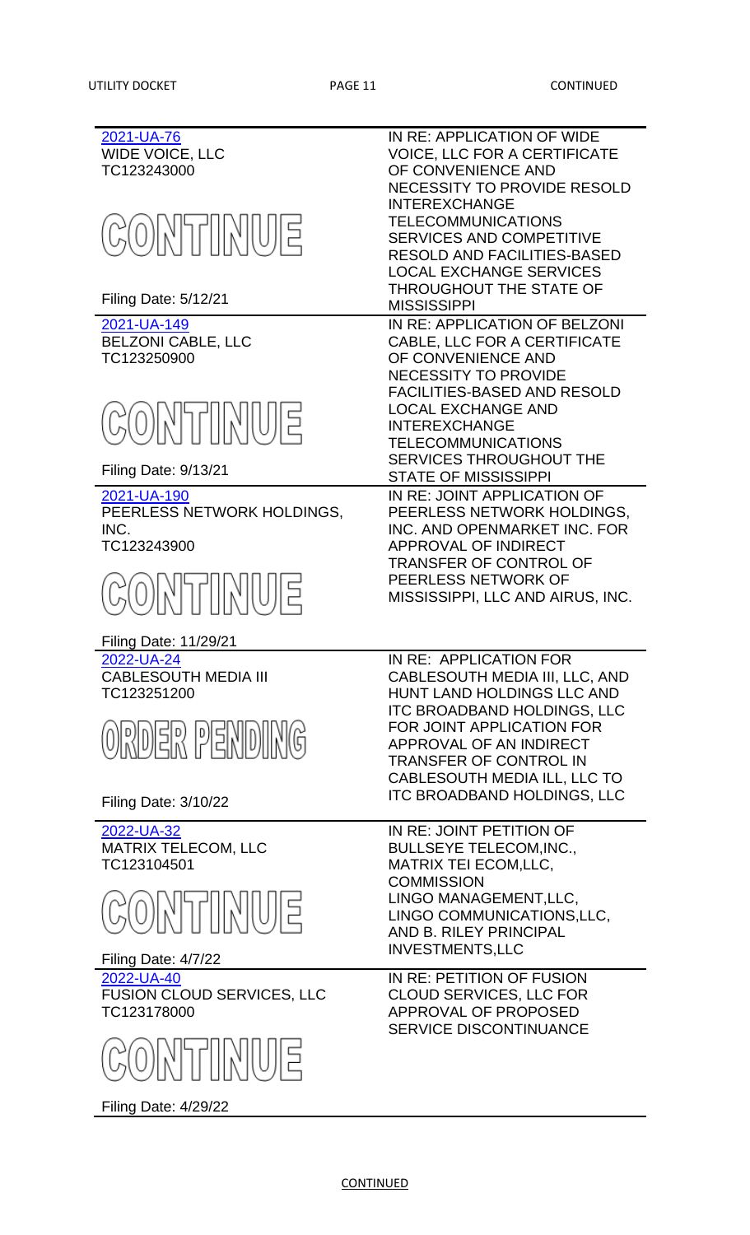| 2021-UA-76<br>WIDE VOICE, LLC<br>TC123243000                                 | IN RE: APPLICATION OF WIDE<br><b>VOICE, LLC FOR A CERTIFICATE</b><br>OF CONVENIENCE AND<br><b>NECESSITY TO PROVIDE RESOLD</b><br><b>INTEREXCHANGE</b>                                                         |
|------------------------------------------------------------------------------|---------------------------------------------------------------------------------------------------------------------------------------------------------------------------------------------------------------|
| <b>CONTINUE</b>                                                              | <b>TELECOMMUNICATIONS</b><br><b>SERVICES AND COMPETITIVE</b><br><b>RESOLD AND FACILITIES-BASED</b><br><b>LOCAL EXCHANGE SERVICES</b>                                                                          |
| <b>Filing Date: 5/12/21</b>                                                  | THROUGHOUT THE STATE OF<br><b>MISSISSIPPI</b>                                                                                                                                                                 |
| 2021-UA-149<br><b>BELZONI CABLE, LLC</b><br>TC123250900                      | IN RE: APPLICATION OF BELZONI<br>CABLE, LLC FOR A CERTIFICATE<br>OF CONVENIENCE AND<br><b>NECESSITY TO PROVIDE</b>                                                                                            |
| ONTIMUE                                                                      | <b>FACILITIES-BASED AND RESOLD</b><br><b>LOCAL EXCHANGE AND</b><br><b>INTEREXCHANGE</b><br><b>TELECOMMUNICATIONS</b><br><b>SERVICES THROUGHOUT THE</b>                                                        |
| <b>Filing Date: 9/13/21</b>                                                  | <b>STATE OF MISSISSIPPI</b>                                                                                                                                                                                   |
| 2021-UA-190<br>PEERLESS NETWORK HOLDINGS,<br>INC.<br>TC123243900<br>ONTTIMUE | IN RE: JOINT APPLICATION OF<br>PEERLESS NETWORK HOLDINGS.<br>INC. AND OPENMARKET INC. FOR<br>APPROVAL OF INDIRECT<br><b>TRANSFER OF CONTROL OF</b><br>PEERLESS NETWORK OF<br>MISSISSIPPI, LLC AND AIRUS, INC. |
| Filing Date: 11/29/21                                                        |                                                                                                                                                                                                               |
| 2022-UA-24<br><b>CABLESOUTH MEDIA III</b><br>TC123251200<br>ORDER PENDING    | IN RE: APPLICATION FOR<br>CABLESOUTH MEDIA III, LLC, AND<br><b>HUNT LAND HOLDINGS LLC AND</b><br><b>ITC BROADBAND HOLDINGS, LLC</b><br>FOR JOINT APPLICATION FOR<br>APPROVAL OF AN INDIRECT                   |
| <b>Filing Date: 3/10/22</b>                                                  | <b>TRANSFER OF CONTROL IN</b><br>CABLESOUTH MEDIA ILL, LLC TO<br><b>ITC BROADBAND HOLDINGS, LLC</b>                                                                                                           |
| 2022-UA-32<br><b>MATRIX TELECOM, LLC</b><br>TC123104501                      | IN RE: JOINT PETITION OF<br><b>BULLSEYE TELECOM, INC.,</b><br><b>MATRIX TEI ECOM,LLC,</b><br><b>COMMISSION</b>                                                                                                |
| E IUJIKIINTIKI(                                                              | LINGO MANAGEMENT, LLC,<br>LINGO COMMUNICATIONS, LLC,<br>AND B. RILEY PRINCIPAL<br><b>INVESTMENTS, LLC</b>                                                                                                     |
| Filing Date: 4/7/22                                                          |                                                                                                                                                                                                               |
| 2022-UA-40<br>FUSION CLOUD SERVICES, LLC<br>TC123178000                      | IN RE: PETITION OF FUSION<br><b>CLOUD SERVICES, LLC FOR</b><br>APPROVAL OF PROPOSED<br><b>SERVICE DISCONTINUANCE</b>                                                                                          |
| E   UJ  X    T  X                                                            |                                                                                                                                                                                                               |

Filing Date: 4/29/22